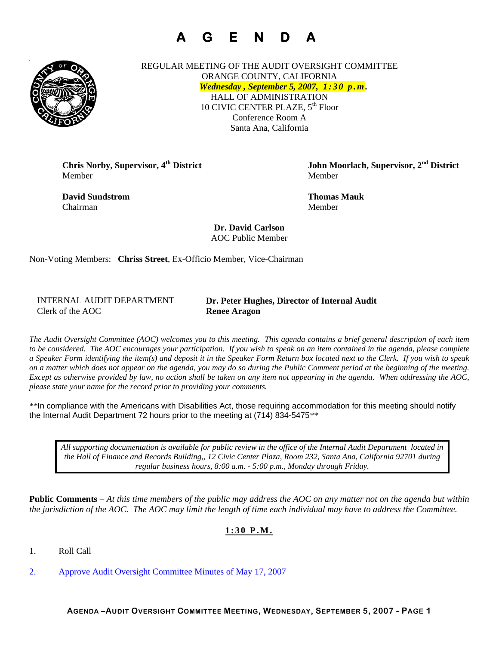# **A G E N D A**



REGULAR MEETING OF THE AUDIT OVERSIGHT COMMITTEE ORANGE COUNTY, CALIFORNIA *Wednesday , September 5, 2007, 1 : 3 0 p . m .* HALL OF ADMINISTRATION 10 CIVIC CENTER PLAZE, 5<sup>th</sup> Floor Conference Room A Santa Ana, California

Member Member

**David Sundstrom Thomas Mauk**  Chairman Member

**Chris Norby, Supervisor, 4th District John Moorlach, Supervisor, 2nd District** 

**Dr. David Carlson**  AOC Public Member

Non-Voting Members: **Chriss Street**, Ex-Officio Member, Vice-Chairman

INTERNAL AUDIT DEPARTMENT Clerk of the AOC **Renee Aragon** 

**Dr. Peter Hughes, Director of Internal Audit** 

*The Audit Oversight Committee (AOC) welcomes you to this meeting. This agenda contains a brief general description of each item to be considered. The AOC encourages your participation. If you wish to speak on an item contained in the agenda, please complete a Speaker Form identifying the item(s) and deposit it in the Speaker Form Return box located next to the Clerk. If you wish to speak on a matter which does not appear on the agenda, you may do so during the Public Comment period at the beginning of the meeting. Except as otherwise provided by law, no action shall be taken on any item not appearing in the agenda. When addressing the AOC, please state your name for the record prior to providing your comments.* 

*\*\**In compliance with the Americans with Disabilities Act, those requiring accommodation for this meeting should notify the Internal Audit Department 72 hours prior to the meeting at (714) 834-5475*\*\** 

*All supporting documentation is available for public review in the office of the Internal Audit Department located in the Hall of Finance and Records Building,, 12 Civic Center Plaza, Room 232, Santa Ana, California 92701 during regular business hours, 8:00 a.m. - 5:00 p.m., Monday through Friday.* 

**Public Comments** – *At this time members of the public may address the AOC on any matter not on the agenda but within the jurisdiction of the AOC. The AOC may limit the length of time each individual may have to address the Committee.* 

### **1:30 P.M.**

1. Roll Call

2. Approve Audit Oversight Committee Minutes of May 17, 2007